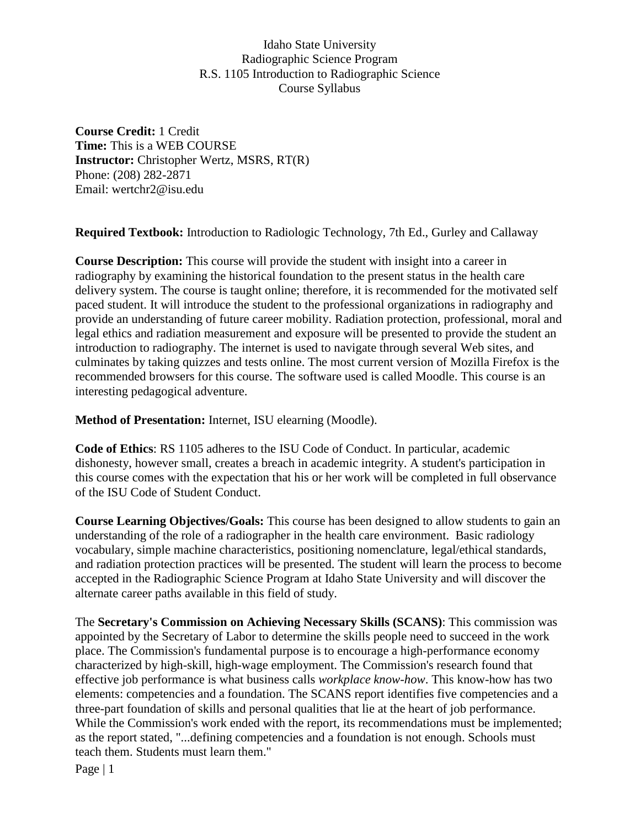**Course Credit:** 1 Credit **Time:** This is a WEB COURSE **Instructor:** Christopher Wertz, MSRS, RT(R) Phone: (208) 282-2871 Email: wertchr2@isu.edu

**Required Textbook:** Introduction to Radiologic Technology, 7th Ed., Gurley and Callaway

**Course Description:** This course will provide the student with insight into a career in radiography by examining the historical foundation to the present status in the health care delivery system. The course is taught online; therefore, it is recommended for the motivated self paced student. It will introduce the student to the professional organizations in radiography and provide an understanding of future career mobility. Radiation protection, professional, moral and legal ethics and radiation measurement and exposure will be presented to provide the student an introduction to radiography. The internet is used to navigate through several Web sites, and culminates by taking quizzes and tests online. The most current version of Mozilla Firefox is the recommended browsers for this course. The software used is called Moodle. This course is an interesting pedagogical adventure.

**Method of Presentation:** Internet, ISU elearning (Moodle).

**Code of Ethics**: RS 1105 adheres to the ISU Code of Conduct. In particular, academic dishonesty, however small, creates a breach in academic integrity. A student's participation in this course comes with the expectation that his or her work will be completed in full observance of the ISU Code of Student Conduct.

**Course Learning Objectives/Goals:** This course has been designed to allow students to gain an understanding of the role of a radiographer in the health care environment. Basic radiology vocabulary, simple machine characteristics, positioning nomenclature, legal/ethical standards, and radiation protection practices will be presented. The student will learn the process to become accepted in the Radiographic Science Program at Idaho State University and will discover the alternate career paths available in this field of study.

The **Secretary's Commission on Achieving Necessary Skills (SCANS)**: This commission was appointed by the Secretary of Labor to determine the skills people need to succeed in the work place. The Commission's fundamental purpose is to encourage a high-performance economy characterized by high-skill, high-wage employment. The Commission's research found that effective job performance is what business calls *workplace know-how*. This know-how has two elements: competencies and a foundation. The SCANS report identifies five competencies and a three-part foundation of skills and personal qualities that lie at the heart of job performance. While the Commission's work ended with the report, its recommendations must be implemented; as the report stated, "...defining competencies and a foundation is not enough. Schools must teach them. Students must learn them."

Page | 1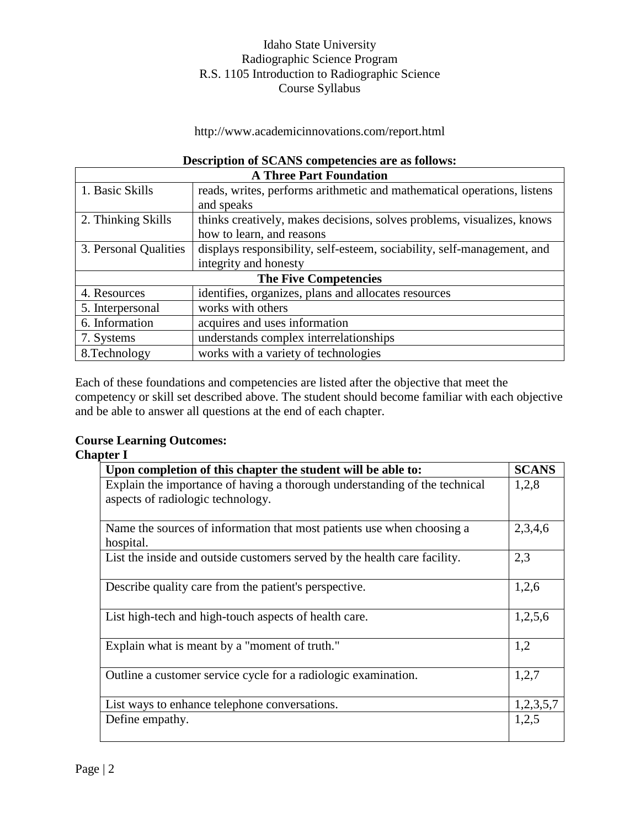### http://www.academicinnovations.com/report.html

# **Description of SCANS competencies are as follows:**

| <b>A Three Part Foundation</b> |                                                                         |  |
|--------------------------------|-------------------------------------------------------------------------|--|
| 1. Basic Skills                | reads, writes, performs arithmetic and mathematical operations, listens |  |
|                                | and speaks                                                              |  |
| 2. Thinking Skills             | thinks creatively, makes decisions, solves problems, visualizes, knows  |  |
|                                | how to learn, and reasons                                               |  |
| 3. Personal Qualities          | displays responsibility, self-esteem, sociability, self-management, and |  |
|                                | integrity and honesty                                                   |  |
| <b>The Five Competencies</b>   |                                                                         |  |
| 4. Resources                   | identifies, organizes, plans and allocates resources                    |  |
| 5. Interpersonal               | works with others                                                       |  |
| 6. Information                 | acquires and uses information                                           |  |
| 7. Systems                     | understands complex interrelationships                                  |  |
| 8. Technology                  | works with a variety of technologies                                    |  |

Each of these foundations and competencies are listed after the objective that meet the competency or skill set described above. The student should become familiar with each objective and be able to answer all questions at the end of each chapter.

# **Course Learning Outcomes:**

| :hantei |  |
|---------|--|
|---------|--|

| Upon completion of this chapter the student will be able to:               | <b>SCANS</b> |
|----------------------------------------------------------------------------|--------------|
| Explain the importance of having a thorough understanding of the technical |              |
| aspects of radiologic technology.                                          |              |
|                                                                            |              |
| Name the sources of information that most patients use when choosing a     | 2,3,4,6      |
| hospital.                                                                  |              |
| List the inside and outside customers served by the health care facility.  | 2,3          |
|                                                                            |              |
| Describe quality care from the patient's perspective.                      | 1,2,6        |
|                                                                            |              |
| List high-tech and high-touch aspects of health care.                      | 1,2,5,6      |
|                                                                            |              |
| Explain what is meant by a "moment of truth."                              | 1,2          |
|                                                                            |              |
| Outline a customer service cycle for a radiologic examination.             | 1,2,7        |
|                                                                            |              |
| List ways to enhance telephone conversations.                              | 1,2,3,5,7    |
| Define empathy.                                                            | 1,2,5        |
|                                                                            |              |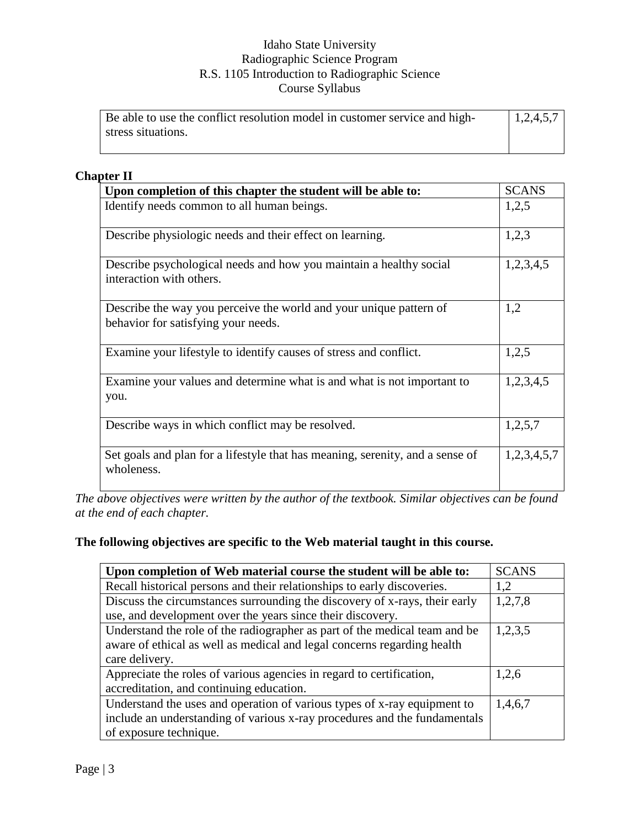| Be able to use the conflict resolution model in customer service and high- | 1,2,4,5,7 |
|----------------------------------------------------------------------------|-----------|
| stress situations.                                                         |           |
|                                                                            |           |

# **Chapter II**

| Upon completion of this chapter the student will be able to:                                              |             |
|-----------------------------------------------------------------------------------------------------------|-------------|
| Identify needs common to all human beings.                                                                | 1,2,5       |
| Describe physiologic needs and their effect on learning.                                                  | 1,2,3       |
| Describe psychological needs and how you maintain a healthy social<br>interaction with others.            | 1,2,3,4,5   |
| Describe the way you perceive the world and your unique pattern of<br>behavior for satisfying your needs. | 1,2         |
| Examine your lifestyle to identify causes of stress and conflict.                                         | 1,2,5       |
| Examine your values and determine what is and what is not important to<br>you.                            | 1,2,3,4,5   |
| Describe ways in which conflict may be resolved.                                                          | 1,2,5,7     |
| Set goals and plan for a lifestyle that has meaning, serenity, and a sense of<br>wholeness.               | 1,2,3,4,5,7 |

*The above objectives were written by the author of the textbook. Similar objectives can be found at the end of each chapter.*

# **The following objectives are specific to the Web material taught in this course.**

| Upon completion of Web material course the student will be able to:        | <b>SCANS</b> |
|----------------------------------------------------------------------------|--------------|
| Recall historical persons and their relationships to early discoveries.    | 1,2          |
| Discuss the circumstances surrounding the discovery of x-rays, their early | 1,2,7,8      |
| use, and development over the years since their discovery.                 |              |
| Understand the role of the radiographer as part of the medical team and be | 1,2,3,5      |
| aware of ethical as well as medical and legal concerns regarding health    |              |
| care delivery.                                                             |              |
| Appreciate the roles of various agencies in regard to certification,       | 1,2,6        |
| accreditation, and continuing education.                                   |              |
| Understand the uses and operation of various types of x-ray equipment to   | 1,4,6,7      |
| include an understanding of various x-ray procedures and the fundamentals  |              |
| of exposure technique.                                                     |              |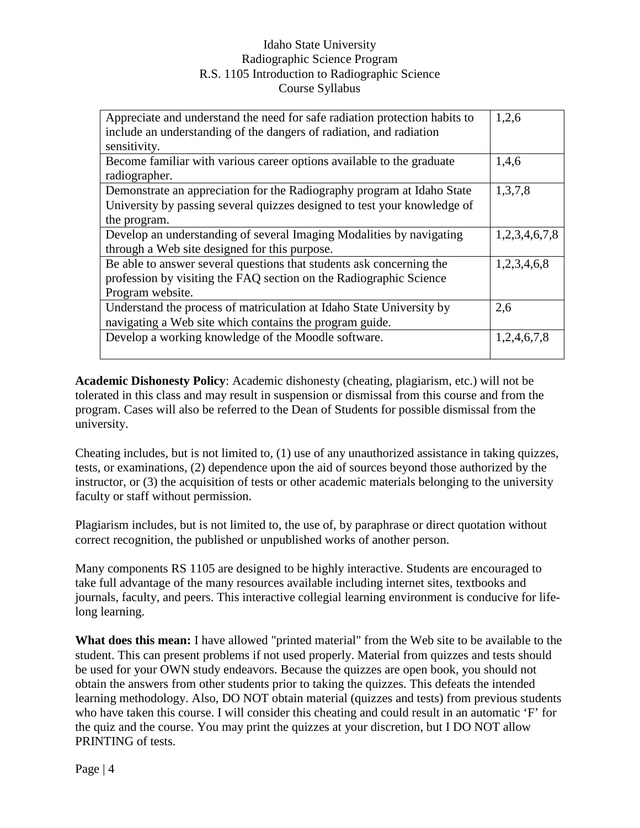| Appreciate and understand the need for safe radiation protection habits to | 1,2,6         |
|----------------------------------------------------------------------------|---------------|
| include an understanding of the dangers of radiation, and radiation        |               |
| sensitivity.                                                               |               |
| Become familiar with various career options available to the graduate      | 1,4,6         |
| radiographer.                                                              |               |
| Demonstrate an appreciation for the Radiography program at Idaho State     | 1,3,7,8       |
| University by passing several quizzes designed to test your knowledge of   |               |
| the program.                                                               |               |
| Develop an understanding of several Imaging Modalities by navigating       | 1,2,3,4,6,7,8 |
| through a Web site designed for this purpose.                              |               |
| Be able to answer several questions that students ask concerning the       | 1,2,3,4,6,8   |
| profession by visiting the FAQ section on the Radiographic Science         |               |
| Program website.                                                           |               |
| Understand the process of matriculation at Idaho State University by       | 2,6           |
| navigating a Web site which contains the program guide.                    |               |
| Develop a working knowledge of the Moodle software.                        | 1,2,4,6,7,8   |
|                                                                            |               |

**Academic Dishonesty Policy**: Academic dishonesty (cheating, plagiarism, etc.) will not be tolerated in this class and may result in suspension or dismissal from this course and from the program. Cases will also be referred to the Dean of Students for possible dismissal from the university.

Cheating includes, but is not limited to, (1) use of any unauthorized assistance in taking quizzes, tests, or examinations, (2) dependence upon the aid of sources beyond those authorized by the instructor, or (3) the acquisition of tests or other academic materials belonging to the university faculty or staff without permission.

Plagiarism includes, but is not limited to, the use of, by paraphrase or direct quotation without correct recognition, the published or unpublished works of another person.

Many components RS 1105 are designed to be highly interactive. Students are encouraged to take full advantage of the many resources available including internet sites, textbooks and journals, faculty, and peers. This interactive collegial learning environment is conducive for lifelong learning.

**What does this mean:** I have allowed "printed material" from the Web site to be available to the student. This can present problems if not used properly. Material from quizzes and tests should be used for your OWN study endeavors. Because the quizzes are open book, you should not obtain the answers from other students prior to taking the quizzes. This defeats the intended learning methodology. Also, DO NOT obtain material (quizzes and tests) from previous students who have taken this course. I will consider this cheating and could result in an automatic 'F' for the quiz and the course. You may print the quizzes at your discretion, but I DO NOT allow PRINTING of tests.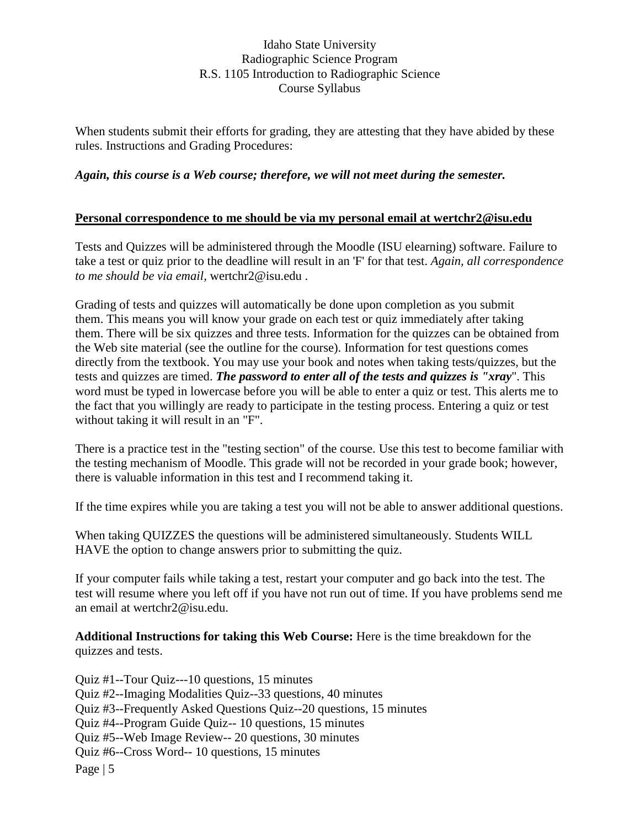When students submit their efforts for grading, they are attesting that they have abided by these rules. Instructions and Grading Procedures:

#### *Again, this course is a Web course; therefore, we will not meet during the semester.*

#### **Personal correspondence to me should be via my personal email at wertchr2@isu.edu**

Tests and Quizzes will be administered through the Moodle (ISU elearning) software. Failure to take a test or quiz prior to the deadline will result in an 'F' for that test. *Again, all correspondence to me should be via email,* wertchr2@isu.edu .

Grading of tests and quizzes will automatically be done upon completion as you submit them. This means you will know your grade on each test or quiz immediately after taking them. There will be six quizzes and three tests. Information for the quizzes can be obtained from the Web site material (see the outline for the course). Information for test questions comes directly from the textbook. You may use your book and notes when taking tests/quizzes, but the tests and quizzes are timed. *The password to enter all of the tests and quizzes is "xray*". This word must be typed in lowercase before you will be able to enter a quiz or test. This alerts me to the fact that you willingly are ready to participate in the testing process. Entering a quiz or test without taking it will result in an "F".

There is a practice test in the "testing section" of the course. Use this test to become familiar with the testing mechanism of Moodle. This grade will not be recorded in your grade book; however, there is valuable information in this test and I recommend taking it.

If the time expires while you are taking a test you will not be able to answer additional questions.

When taking QUIZZES the questions will be administered simultaneously. Students WILL HAVE the option to change answers prior to submitting the quiz.

If your computer fails while taking a test, restart your computer and go back into the test. The test will resume where you left off if you have not run out of time. If you have problems send me an email at wertchr2@isu.edu.

**Additional Instructions for taking this Web Course:** Here is the time breakdown for the quizzes and tests.

Page | 5 Quiz #1--Tour Quiz---10 questions, 15 minutes Quiz #2--Imaging Modalities Quiz--33 questions, 40 minutes Quiz #3--Frequently Asked Questions Quiz--20 questions, 15 minutes Quiz #4--Program Guide Quiz-- 10 questions, 15 minutes Quiz #5--Web Image Review-- 20 questions, 30 minutes Quiz #6--Cross Word-- 10 questions, 15 minutes